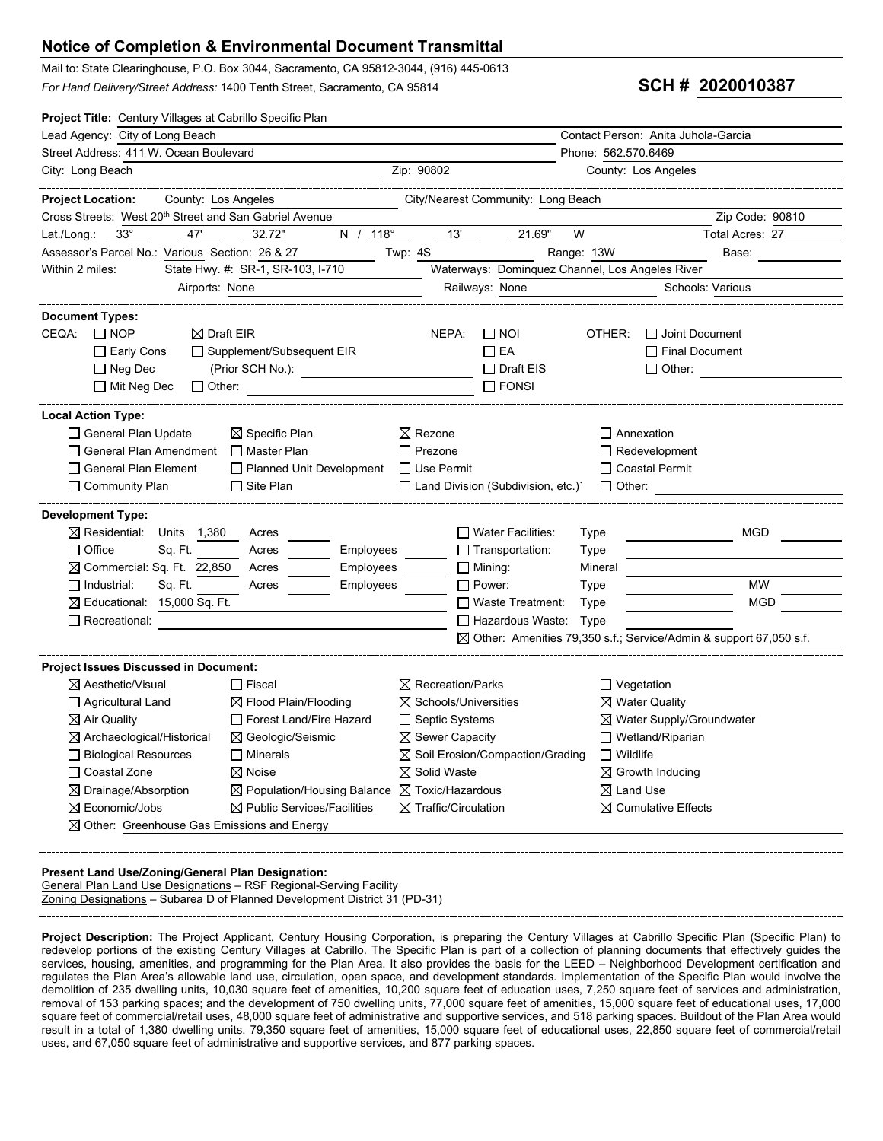## **Notice of Completion & Environmental Document Transmittal**

Mail to: State Clearinghouse, P.O. Box 3044, Sacramento, CA 95812-3044, (916) 445-0613 For Hand Delivery/Street Address: 1400 Tenth Street, Sacramento, CA 95814 **SCH # 2020010387** 

| Project Title: Century Villages at Cabrillo Specific Plan                                   |                                    |                                                                     |                                      |  |  |
|---------------------------------------------------------------------------------------------|------------------------------------|---------------------------------------------------------------------|--------------------------------------|--|--|
| Lead Agency: City of Long Beach                                                             |                                    | Contact Person: Anita Juhola-Garcia                                 |                                      |  |  |
| Street Address: 411 W. Ocean Boulevard                                                      | Phone: 562.570.6469                |                                                                     |                                      |  |  |
| City: Long Beach                                                                            | Zip: 90802                         | County: Los Angeles                                                 |                                      |  |  |
| <b>Project Location:</b><br>County: Los Angeles                                             | City/Nearest Community: Long Beach |                                                                     |                                      |  |  |
| Cross Streets: West 20 <sup>th</sup> Street and San Gabriel Avenue                          |                                    |                                                                     | Zip Code: 90810                      |  |  |
| $118^\circ$<br>47'<br>32.72"<br>Lat./Long.:<br>$33^\circ$<br>Ν<br>$\prime$                  | 13'<br>21.69"                      | W                                                                   | Total Acres: 27                      |  |  |
| Assessor's Parcel No.: Various Section: 26 & 27                                             | Twp: 4S                            | Range: 13W                                                          | Base:                                |  |  |
| State Hwy. #: SR-1, SR-103, I-710<br>Within 2 miles:                                        |                                    | Waterways: Dominquez Channel, Los Angeles River                     |                                      |  |  |
| Airports: None                                                                              | Railways: None                     |                                                                     | Schools: Various                     |  |  |
| <b>Document Types:</b>                                                                      |                                    |                                                                     |                                      |  |  |
| $\Box$ NOP<br>CEQA:<br>$\boxtimes$ Draft EIR                                                | NEPA:<br>$\Box$ NOI                | OTHER:<br>$\Box$ Joint Document                                     |                                      |  |  |
| □ Supplement/Subsequent EIR<br>$\Box$ Early Cons                                            | $\Box$ EA                          | $\Box$ Final Document                                               |                                      |  |  |
| (Prior SCH No.):<br>$\Box$ Neg Dec                                                          | $\Box$ Draft EIS                   | $\Box$ Other:                                                       |                                      |  |  |
| $\Box$ Mit Neg Dec<br>$\Box$ Other:                                                         | $\Box$ FONSI                       |                                                                     |                                      |  |  |
| <b>Local Action Type:</b>                                                                   |                                    |                                                                     |                                      |  |  |
| □ General Plan Update<br>$\boxtimes$ Specific Plan                                          | $\boxtimes$ Rezone                 | Annexation                                                          |                                      |  |  |
| □ General Plan Amendment<br>$\Box$ Master Plan                                              | $\Box$ Prezone                     | $\Box$ Redevelopment                                                |                                      |  |  |
| $\Box$ General Plan Element<br>□ Planned Unit Development                                   | $\Box$ Use Permit                  | $\Box$ Coastal Permit                                               |                                      |  |  |
| $\Box$ Community Plan<br>$\Box$ Site Plan                                                   | Land Division (Subdivision, etc.)  | $\Box$ Other:                                                       |                                      |  |  |
| <b>Development Type:</b>                                                                    |                                    |                                                                     |                                      |  |  |
| $\boxtimes$ Residential:<br>Units<br>1,380<br>Acres                                         | $\Box$ Water Facilities:           | Type                                                                | <b>MGD</b>                           |  |  |
| $\Box$ Office<br>Sq. Ft.<br>Employees<br>Acres                                              | $\Box$ Transportation:             | Type                                                                |                                      |  |  |
| $\boxtimes$ Commercial: Sq. Ft. 22,850<br>Employees<br>Acres                                | $\Box$ Mining:                     | Mineral                                                             |                                      |  |  |
| $\Box$ Industrial:<br>Sq. Ft.<br>Employees<br>Acres                                         | $\Box$ Power:                      | Type                                                                | <b>MW</b>                            |  |  |
| $\boxtimes$ Educational: 15,000 Sq. Ft.                                                     | $\Box$ Waste Treatment:            | Type                                                                | <b>MGD</b>                           |  |  |
| $\Box$ Recreational:                                                                        | $\Box$ Hazardous Waste:            | Type                                                                |                                      |  |  |
|                                                                                             |                                    | ⊠ Other: Amenities 79,350 s.f.; Service/Admin & support 67,050 s.f. |                                      |  |  |
| <b>Project Issues Discussed in Document:</b>                                                |                                    |                                                                     |                                      |  |  |
| $\boxtimes$ Aesthetic/Visual<br>$\Box$ Fiscal                                               | $\boxtimes$ Recreation/Parks       | $\Box$ Vegetation                                                   |                                      |  |  |
| $\boxtimes$ Flood Plain/Flooding<br>$\Box$ Agricultural Land                                | $\boxtimes$ Schools/Universities   |                                                                     | $\boxtimes$ Water Quality            |  |  |
| Forest Land/Fire Hazard<br>$\boxtimes$ Air Quality                                          | $\Box$ Septic Systems              |                                                                     | $\boxtimes$ Water Supply/Groundwater |  |  |
| $\boxtimes$ Archaeological/Historical<br>$\boxtimes$ Geologic/Seismic                       | $\boxtimes$ Sewer Capacity         | $\Box$ Wetland/Riparian                                             |                                      |  |  |
| $\Box$ Minerals<br>□ Biological Resources                                                   | ⊠ Soil Erosion/Compaction/Grading  | $\Box$ Wildlife                                                     |                                      |  |  |
| □ Coastal Zone<br>$\boxtimes$ Noise                                                         | $\boxtimes$ Solid Waste            | $\boxtimes$ Growth Inducing                                         |                                      |  |  |
| ⊠ Drainage/Absorption<br>$\boxtimes$ Population/Housing Balance $\boxtimes$ Toxic/Hazardous |                                    | $\boxtimes$ Land Use                                                |                                      |  |  |
| $\boxtimes$ Economic/Jobs<br>$\boxtimes$ Public Services/Facilities                         | $\boxtimes$ Traffic/Circulation    |                                                                     | $\boxtimes$ Cumulative Effects       |  |  |
| $\boxtimes$ Other: Greenhouse Gas Emissions and Energy                                      |                                    |                                                                     |                                      |  |  |
|                                                                                             |                                    |                                                                     |                                      |  |  |

### **Present Land Use/Zoning/General Plan Designation:**

General Plan Land Use Designations - RSF Regional-Serving Facility Zoning Designations – Subarea D of Planned Development District 31 (PD-31)

**Project Description:** The Project Applicant, Century Housing Corporation, is preparing the Century Villages at Cabrillo Specific Plan (Specific Plan) to redevelop portions of the existing Century Villages at Cabrillo. The Specific Plan is part of a collection of planning documents that effectively guides the services, housing, amenities, and programming for the Plan Area. It also provides the basis for the LEED – Neighborhood Development certification and regulates the Plan Area's allowable land use, circulation, open space, and development standards. Implementation of the Specific Plan would involve the demolition of 235 dwelling units, 10,030 square feet of amenities, 10,200 square feet of education uses, 7,250 square feet of services and administration, removal of 153 parking spaces; and the development of 750 dwelling units, 77,000 square feet of amenities, 15,000 square feet of educational uses, 17,000 square feet of commercial/retail uses, 48,000 square feet of administrative and supportive services, and 518 parking spaces. Buildout of the Plan Area would result in a total of 1,380 dwelling units, 79,350 square feet of amenities, 15,000 square feet of educational uses, 22,850 square feet of commercial/retail uses, and 67,050 square feet of administrative and supportive services, and 877 parking spaces.